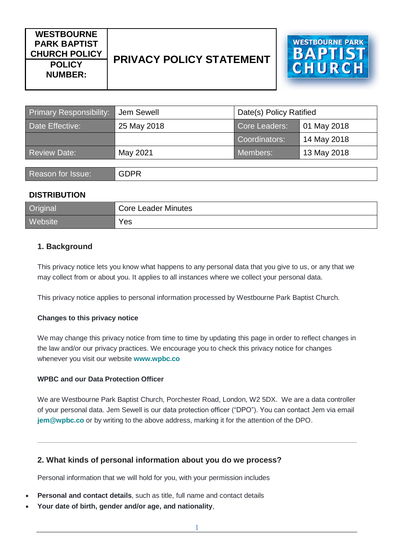# **WESTBOURNE PARK BAPTIST CHURCH POLICY PRIVACY POLICY STATEMENT POLICY NUMBER:**



| <b>Primary Responsibility:</b> | Jem Sewell  | Date(s) Policy Ratified |             |
|--------------------------------|-------------|-------------------------|-------------|
| Date Effective:                | 25 May 2018 | <b>Core Leaders:</b>    | 01 May 2018 |
|                                |             | Coordinators:           | 14 May 2018 |
| <b>Review Date:</b>            | May 2021    | Members:                | 13 May 2018 |
|                                |             |                         |             |
| Reason for Issue:              | <b>GDPR</b> |                         |             |

## **DISTRIBUTION**

| <b>Original</b> | <b>Core Leader Minutes</b> |
|-----------------|----------------------------|
| <b>Website</b>  | Yes                        |

# **1. Background**

This privacy notice lets you know what happens to any personal data that you give to us, or any that we may collect from or about you. It applies to all instances where we collect your personal data.

This privacy notice applies to personal information processed by Westbourne Park Baptist Church.

#### **Changes to this privacy notice**

We may change this privacy notice from time to time by updating this page in order to reflect changes in the law and/or our privacy practices. We encourage you to check this privacy notice for changes whenever you visit our website **[www.wpbc.co](http://www.wpbc.co/)**

#### **WPBC and our Data Protection Officer**

We are Westbourne Park Baptist Church, Porchester Road, London, W2 5DX. We are a data controller of your personal data. Jem Sewell is our data protection officer ("DPO"). You can contact Jem via email **[jem@wpbc.co](mailto:jem@wpbc.co)** or by writing to the above address, marking it for the attention of the DPO.

## **2. What kinds of personal information about you do we process?**

Personal information that we will hold for you, with your permission includes

- **Personal and contact details**, such as title, full name and contact details
- **Your date of birth, gender and/or age, and nationality**,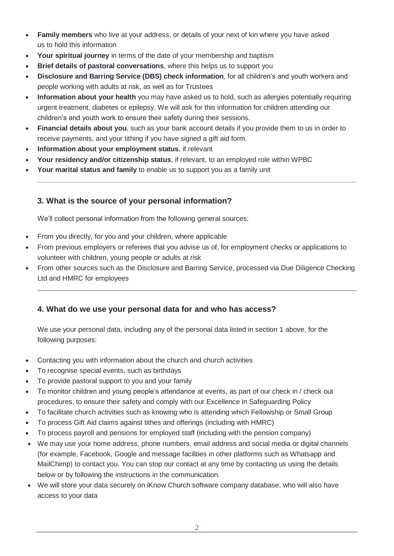- **Family members** who live at your address, or details of your next of kin where you have asked us to hold this information
- **Your spiritual journey** in terms of the date of your membership and baptism
- **Brief details of pastoral conversations**, where this helps us to support you
- **Disclosure and Barring Service (DBS) check information**, for all children's and youth workers and people working with adults at risk, as well as for Trustees
- **Information about your health** you may have asked us to hold, such as allergies potentially requiring urgent treatment, diabetes or epilepsy. We will ask for this information for children attending our children's and youth work to ensure their safety during their sessions.
- **Financial details about you**, such as your bank account details if you provide them to us in order to receive payments, and your tithing if you have signed a gift aid form.
- **Information about your employment status**, if relevant
- **Your residency and/or citizenship status**, if relevant, to an employed role within WPBC
- **Your marital status and family** to enable us to support you as a family unit

## **3. What is the source of your personal information?**

We'll collect personal information from the following general sources:

- From you directly, for you and your children, where applicable
- From previous employers or referees that you advise us of, for employment checks or applications to volunteer with children, young people or adults at risk
- From other sources such as the Disclosure and Barring Service, processed via Due Diligence Checking Ltd and HMRC for employees

## **4. What do we use your personal data for and who has access?**

We use your personal data, including any of the personal data listed in section 1 above, for the following purposes:

- Contacting you with information about the church and church activities
- To recognise special events, such as birthdays
- To provide pastoral support to you and your family
- To monitor children and young people's attendance at events, as part of our check in / check out procedures, to ensure their safety and comply with our Excellence in Safeguarding Policy
- To facilitate church activities such as knowing who is attending which Fellowship or Small Group
- To process Gift Aid claims against tithes and offerings (including with HMRC)
- To process payroll and pensions for employed staff (including with the pension company)
- We may use your home address, phone numbers, email address and social media or digital channels (for example, Facebook, Google and message facilities in other platforms such as Whatsapp and MailChimp) to contact you. You can stop our contact at any time by contacting us using the details below or by following the instructions in the communication.
- We will store your data securely on iKnow Church software company database, who will also have access to your data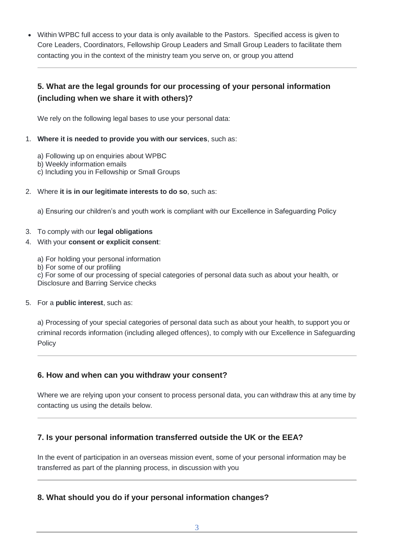• Within WPBC full access to your data is only available to the Pastors. Specified access is given to Core Leaders, Coordinators, Fellowship Group Leaders and Small Group Leaders to facilitate them contacting you in the context of the ministry team you serve on, or group you attend

# **5. What are the legal grounds for our processing of your personal information (including when we share it with others)?**

We rely on the following legal bases to use your personal data:

- 1. **Where it is needed to provide you with our services**, such as:
	- a) Following up on enquiries about WPBC
	- b) Weekly information emails
	- c) Including you in Fellowship or Small Groups
- 2. Where **it is in our legitimate interests to do so**, such as:

a) Ensuring our children's and youth work is compliant with our Excellence in Safeguarding Policy

#### 3. To comply with our **legal obligations**

#### 4. With your **consent or explicit consent**:

- a) For holding your personal information
- b) For some of our profiling

c) For some of our processing of special categories of personal data such as about your health, or Disclosure and Barring Service checks

#### 5. For a **public interest**, such as:

a) Processing of your special categories of personal data such as about your health, to support you or criminal records information (including alleged offences), to comply with our Excellence in Safeguarding **Policy** 

## **6. How and when can you withdraw your consent?**

Where we are relying upon your consent to process personal data, you can withdraw this at any time by contacting us using the details below.

# **7. Is your personal information transferred outside the UK or the EEA?**

In the event of participation in an overseas mission event, some of your personal information may be transferred as part of the planning process, in discussion with you

## **8. What should you do if your personal information changes?**